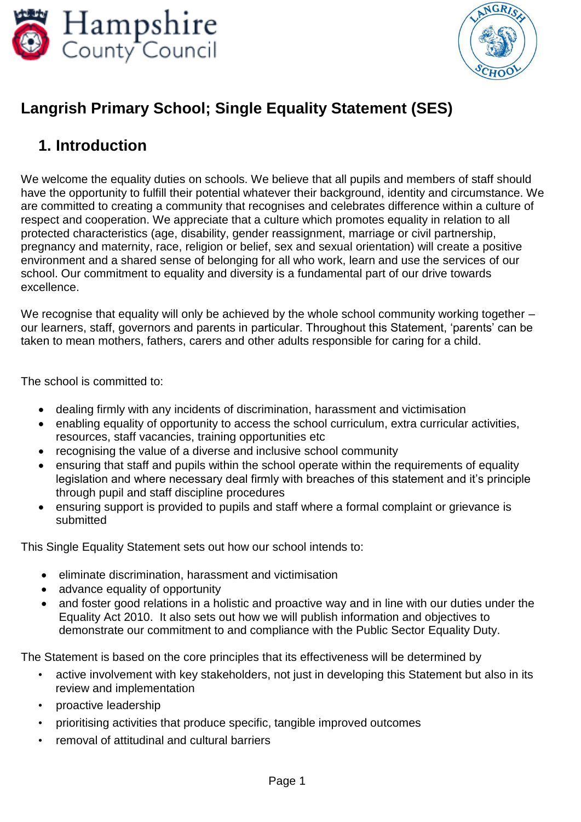



# **Langrish Primary School; Single Equality Statement (SES)**

### **1. Introduction**

We welcome the equality duties on schools. We believe that all pupils and members of staff should have the opportunity to fulfill their potential whatever their background, identity and circumstance. We are committed to creating a community that recognises and celebrates difference within a culture of respect and cooperation. We appreciate that a culture which promotes equality in relation to all protected characteristics (age, disability, gender reassignment, marriage or civil partnership, pregnancy and maternity, race, religion or belief, sex and sexual orientation) will create a positive environment and a shared sense of belonging for all who work, learn and use the services of our school. Our commitment to equality and diversity is a fundamental part of our drive towards excellence.

We recognise that equality will only be achieved by the whole school community working together – our learners, staff, governors and parents in particular. Throughout this Statement, 'parents' can be taken to mean mothers, fathers, carers and other adults responsible for caring for a child.

The school is committed to:

- dealing firmly with any incidents of discrimination, harassment and victimisation
- enabling equality of opportunity to access the school curriculum, extra curricular activities, resources, staff vacancies, training opportunities etc
- recognising the value of a diverse and inclusive school community
- ensuring that staff and pupils within the school operate within the requirements of equality legislation and where necessary deal firmly with breaches of this statement and it's principle through pupil and staff discipline procedures
- ensuring support is provided to pupils and staff where a formal complaint or grievance is submitted

This Single Equality Statement sets out how our school intends to:

- eliminate discrimination, harassment and victimisation
- advance equality of opportunity
- and foster good relations in a holistic and proactive way and in line with our duties under the Equality Act 2010. It also sets out how we will publish information and objectives to demonstrate our commitment to and compliance with the Public Sector Equality Duty.

The Statement is based on the core principles that its effectiveness will be determined by

- active involvement with key stakeholders, not just in developing this Statement but also in its review and implementation
- proactive leadership
- prioritising activities that produce specific, tangible improved outcomes
- removal of attitudinal and cultural barriers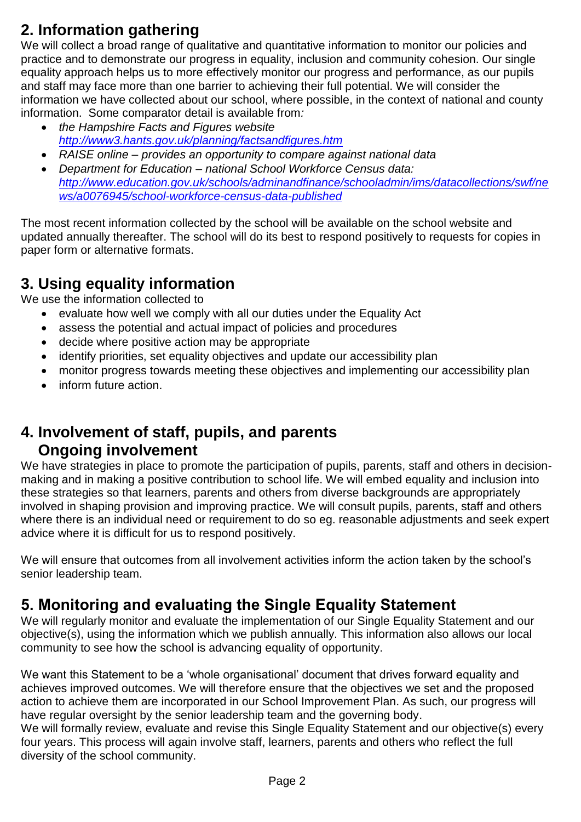# **2. Information gathering**

We will collect a broad range of qualitative and quantitative information to monitor our policies and practice and to demonstrate our progress in equality, inclusion and community cohesion. Our single equality approach helps us to more effectively monitor our progress and performance, as our pupils and staff may face more than one barrier to achieving their full potential. We will consider the information we have collected about our school, where possible, in the context of national and county information. Some comparator detail is available from*:*

- *the Hampshire Facts and Figures website <http://www3.hants.gov.uk/planning/factsandfigures.htm>*
- *RAISE online – provides an opportunity to compare against national data*
- *Department for Education – national School Workforce Census data: [http://www.education.gov.uk/schools/adminandfinance/schooladmin/ims/datacollections/swf/ne](http://www.education.gov.uk/schools/adminandfinance/schooladmin/ims/datacollections/swf/news/a0076945/school-workforce-census-data-published) [ws/a0076945/school-workforce-census-data-published](http://www.education.gov.uk/schools/adminandfinance/schooladmin/ims/datacollections/swf/news/a0076945/school-workforce-census-data-published)*

The most recent information collected by the school will be available on the school website and updated annually thereafter. The school will do its best to respond positively to requests for copies in paper form or alternative formats.

### **3. Using equality information**

We use the information collected to

- evaluate how well we comply with all our duties under the Equality Act
- assess the potential and actual impact of policies and procedures
- decide where positive action may be appropriate
- identify priorities, set equality objectives and update our accessibility plan
- monitor progress towards meeting these objectives and implementing our accessibility plan
- inform future action.

#### **4. Involvement of staff, pupils, and parents Ongoing involvement**

We have strategies in place to promote the participation of pupils, parents, staff and others in decisionmaking and in making a positive contribution to school life. We will embed equality and inclusion into these strategies so that learners, parents and others from diverse backgrounds are appropriately involved in shaping provision and improving practice. We will consult pupils, parents, staff and others where there is an individual need or requirement to do so eg. reasonable adjustments and seek expert advice where it is difficult for us to respond positively.

We will ensure that outcomes from all involvement activities inform the action taken by the school's senior leadership team.

## **5. Monitoring and evaluating the Single Equality Statement**

We will regularly monitor and evaluate the implementation of our Single Equality Statement and our objective(s), using the information which we publish annually. This information also allows our local community to see how the school is advancing equality of opportunity.

We want this Statement to be a 'whole organisational' document that drives forward equality and achieves improved outcomes. We will therefore ensure that the objectives we set and the proposed action to achieve them are incorporated in our School Improvement Plan. As such, our progress will have regular oversight by the senior leadership team and the governing body.

We will formally review, evaluate and revise this Single Equality Statement and our objective(s) every four years. This process will again involve staff, learners, parents and others who reflect the full diversity of the school community.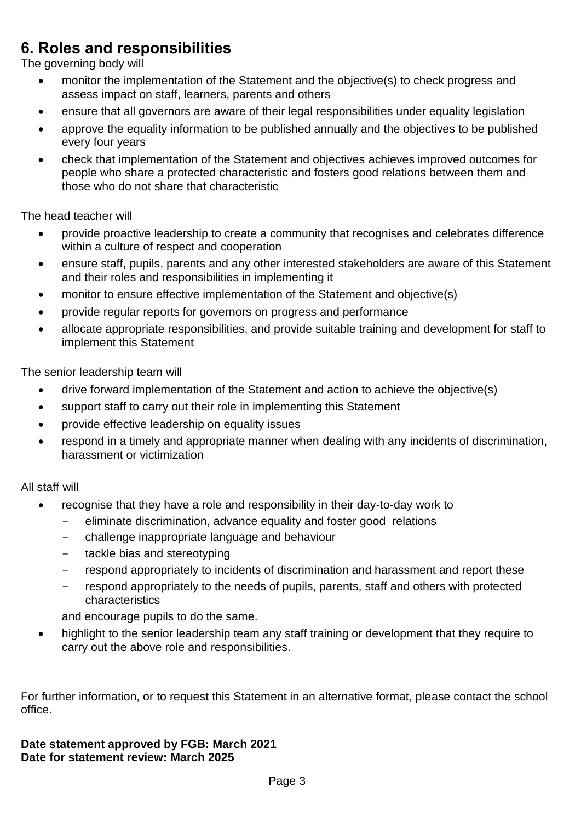## **6. Roles and responsibilities**

The governing body will

- monitor the implementation of the Statement and the objective(s) to check progress and assess impact on staff, learners, parents and others
- ensure that all governors are aware of their legal responsibilities under equality legislation
- approve the equality information to be published annually and the objectives to be published every four years
- check that implementation of the Statement and objectives achieves improved outcomes for people who share a protected characteristic and fosters good relations between them and those who do not share that characteristic

The head teacher will

- provide proactive leadership to create a community that recognises and celebrates difference within a culture of respect and cooperation
- ensure staff, pupils, parents and any other interested stakeholders are aware of this Statement and their roles and responsibilities in implementing it
- monitor to ensure effective implementation of the Statement and objective(s)
- provide regular reports for governors on progress and performance
- allocate appropriate responsibilities, and provide suitable training and development for staff to implement this Statement

The senior leadership team will

- drive forward implementation of the Statement and action to achieve the objective(s)
- support staff to carry out their role in implementing this Statement
- provide effective leadership on equality issues
- respond in a timely and appropriate manner when dealing with any incidents of discrimination, harassment or victimization

All staff will

- recognise that they have a role and responsibility in their day-to-day work to
	- eliminate discrimination, advance equality and foster good relations
	- challenge inappropriate language and behaviour
	- tackle bias and stereotyping
	- respond appropriately to incidents of discrimination and harassment and report these
	- respond appropriately to the needs of pupils, parents, staff and others with protected characteristics

and encourage pupils to do the same.

• highlight to the senior leadership team any staff training or development that they require to carry out the above role and responsibilities.

For further information, or to request this Statement in an alternative format, please contact the school office.

**Date statement approved by FGB: March 2021 Date for statement review: March 2025**